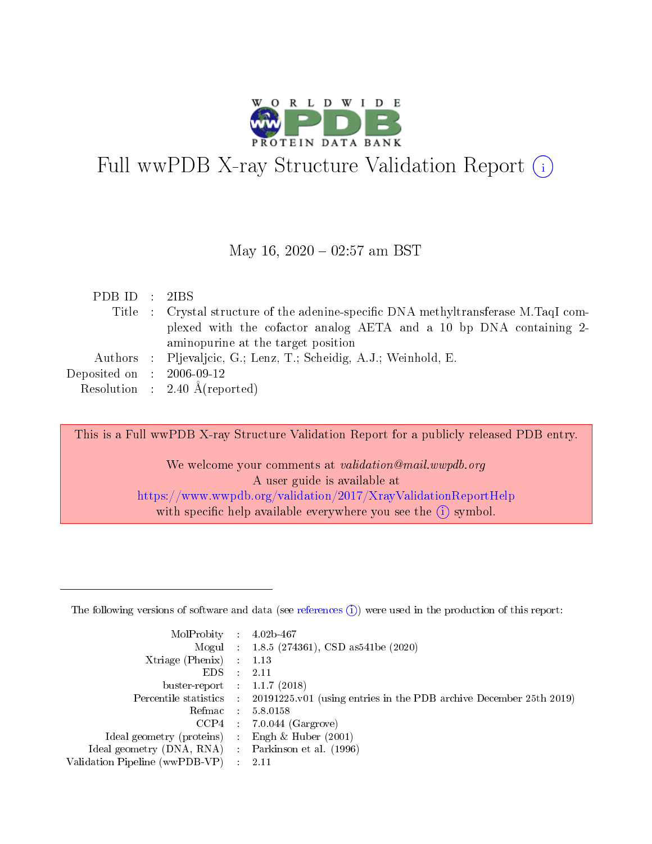

# Full wwPDB X-ray Structure Validation Report  $(i)$

#### May 16,  $2020 - 02:57$  am BST

| PDB ID : 2IBS               |                                                                                     |
|-----------------------------|-------------------------------------------------------------------------------------|
|                             | Title : Crystal structure of the adenine-specific DNA methyltransferase M.TaqI com- |
|                             | plexed with the cofactor analog AETA and a 10 bp DNA containing 2-                  |
|                             | aminopurine at the target position                                                  |
|                             | Authors : Pljevaljcic, G.; Lenz, T.; Scheidig, A.J.; Weinhold, E.                   |
| Deposited on : $2006-09-12$ |                                                                                     |
|                             | Resolution : $2.40 \text{ Å}$ (reported)                                            |

This is a Full wwPDB X-ray Structure Validation Report for a publicly released PDB entry.

We welcome your comments at validation@mail.wwpdb.org A user guide is available at <https://www.wwpdb.org/validation/2017/XrayValidationReportHelp> with specific help available everywhere you see the  $(i)$  symbol.

The following versions of software and data (see [references](https://www.wwpdb.org/validation/2017/XrayValidationReportHelp#references)  $(1)$ ) were used in the production of this report:

| MolProbity :                   |               | $4.02b - 467$                                                               |
|--------------------------------|---------------|-----------------------------------------------------------------------------|
|                                |               | Mogul : $1.8.5$ (274361), CSD as 541be (2020)                               |
| Xtriage (Phenix)               | $\mathcal{L}$ | 1.13                                                                        |
| EDS.                           |               | 2.11                                                                        |
| buster-report : $1.1.7$ (2018) |               |                                                                             |
| Percentile statistics :        |               | $20191225 \text{v}01$ (using entries in the PDB archive December 25th 2019) |
| Refmac :                       |               | 5.8.0158                                                                    |
| CCP4                           |               | $7.0.044$ (Gargrove)                                                        |
| Ideal geometry (proteins) :    |               | Engh $\&$ Huber (2001)                                                      |
| Ideal geometry (DNA, RNA) :    |               | Parkinson et al. (1996)                                                     |
| Validation Pipeline (wwPDB-VP) | $\mathcal{L}$ | 2.11                                                                        |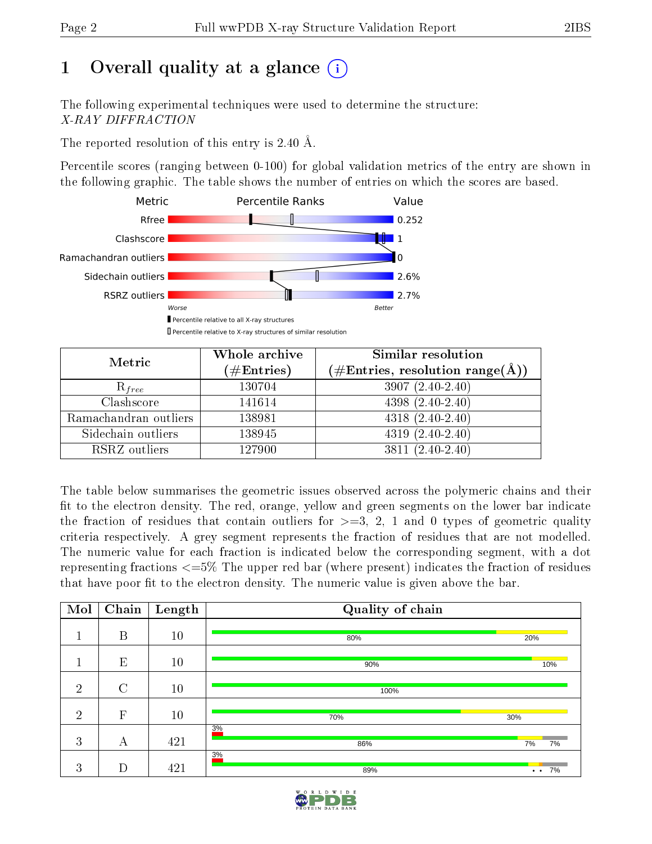# 1 [O](https://www.wwpdb.org/validation/2017/XrayValidationReportHelp#overall_quality)verall quality at a glance  $(i)$

The following experimental techniques were used to determine the structure: X-RAY DIFFRACTION

The reported resolution of this entry is 2.40 Å.

Percentile scores (ranging between 0-100) for global validation metrics of the entry are shown in the following graphic. The table shows the number of entries on which the scores are based.



| Metric                | Whole archive<br>$(\#\text{Entries})$ | Similar resolution<br>$(\#\text{Entries},\, \text{resolution}\; \text{range}(\textup{\AA}))$ |
|-----------------------|---------------------------------------|----------------------------------------------------------------------------------------------|
| $R_{free}$            | 130704                                | $3907(2.40-2.40)$                                                                            |
| Clashscore            | 141614                                | $4398(2.40-2.40)$                                                                            |
| Ramachandran outliers | 138981                                | $4318(2.40-2.40)$                                                                            |
| Sidechain outliers    | 138945                                | $4319(2.40-2.40)$                                                                            |
| RSRZ outliers         | 127900                                | 3811 (2.40-2.40)                                                                             |

The table below summarises the geometric issues observed across the polymeric chains and their fit to the electron density. The red, orange, yellow and green segments on the lower bar indicate the fraction of residues that contain outliers for  $>=3, 2, 1$  and 0 types of geometric quality criteria respectively. A grey segment represents the fraction of residues that are not modelled. The numeric value for each fraction is indicated below the corresponding segment, with a dot representing fractions  $\epsilon=5\%$  The upper red bar (where present) indicates the fraction of residues that have poor fit to the electron density. The numeric value is given above the bar.

| Mol            | $\overline{\text{Chain}}$ | Length | Quality of chain |                            |
|----------------|---------------------------|--------|------------------|----------------------------|
| 1              | $\boldsymbol{B}$          | 10     | 80%              | 20%                        |
|                | E                         | 10     | 90%              | 10%                        |
| $\overline{2}$ | $\mathcal{C}$             | 10     | 100%             |                            |
| $\overline{2}$ | $\mathbf{F}$              | 10     | 70%              | 30%                        |
| 3              | А                         | 421    | 3%<br>86%        | 7%<br>7%                   |
| 3              | D                         | 421    | 3%<br>89%        | 7%<br>$\ddot{\phantom{0}}$ |

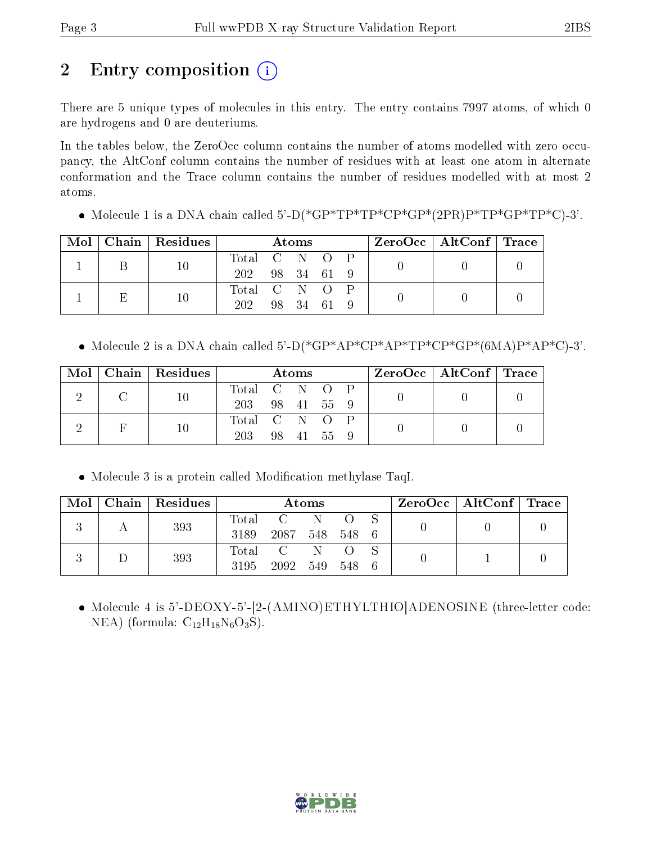# 2 Entry composition (i)

There are 5 unique types of molecules in this entry. The entry contains 7997 atoms, of which 0 are hydrogens and 0 are deuteriums.

In the tables below, the ZeroOcc column contains the number of atoms modelled with zero occupancy, the AltConf column contains the number of residues with at least one atom in alternate conformation and the Trace column contains the number of residues modelled with at most 2 atoms.

Molecule 1 is a DNA chain called 5'-D(\*GP\*TP\*TP\*CP\*GP\*(2PR)P\*TP\*GP\*TP\*C)-3'.

| Mol | Chain Residues | Atoms          |  |            |  |  | $ZeroOcc \   \ AltConf \   \ Trace$ |  |
|-----|----------------|----------------|--|------------|--|--|-------------------------------------|--|
|     | 10             | Total C N O P  |  |            |  |  |                                     |  |
|     |                | 202 98 34 61 9 |  |            |  |  |                                     |  |
|     |                | Total C N O P  |  |            |  |  |                                     |  |
|     | 10             |                |  | 98 34 61 9 |  |  |                                     |  |

• Molecule 2 is a DNA chain called  $5'-D(*GP*AP*CP*AP*TP*CP*GP*(6MA)P*AP*C)-3'$ .

|  | Mol   Chain   Residues | Atoms         |  |          | $\rm ZeroOcc \mid AltConf \mid Trace$ |  |  |  |
|--|------------------------|---------------|--|----------|---------------------------------------|--|--|--|
|  |                        | Total C N O P |  |          |                                       |  |  |  |
|  |                        | 203           |  |          | 98 41 55 9                            |  |  |  |
|  |                        | Total C N O P |  |          |                                       |  |  |  |
|  | 10                     | 203           |  | 98 41 55 |                                       |  |  |  |

• Molecule 3 is a protein called Modification methylase TaqI.

| Mol | $\vert$ Chain $\vert$ Residues | Atoms |                |  |       |  | $ZeroOcc \mid AltConf \mid Trace$ |  |
|-----|--------------------------------|-------|----------------|--|-------|--|-----------------------------------|--|
|     | 393                            | Total |                |  |       |  |                                   |  |
|     |                                | 3189  | 2087 548 548 6 |  |       |  |                                   |  |
|     | 393                            | Total |                |  |       |  |                                   |  |
|     |                                |       | 3195 2092 549  |  | 548 6 |  |                                   |  |

• Molecule 4 is 5'-DEOXY-5'-[2-(AMINO)ETHYLTHIO]ADENOSINE (three-letter code: NEA) (formula:  $C_{12}H_{18}N_6O_3S$ ).

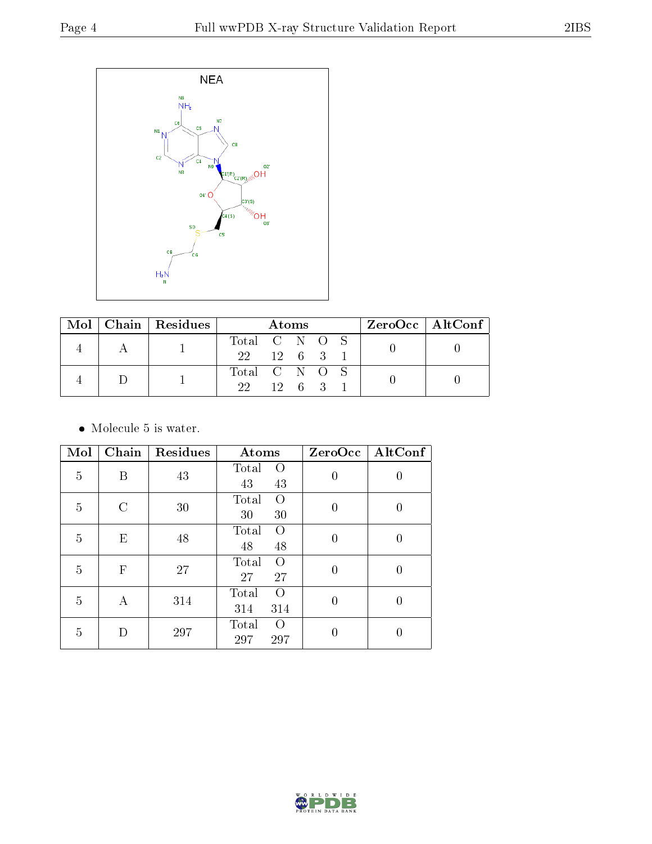

|  | $Mol$   Chain   Residues | Atoms                |  |  |  | ZeroOcc   AltConf |  |
|--|--------------------------|----------------------|--|--|--|-------------------|--|
|  |                          | Total C N O S        |  |  |  |                   |  |
|  |                          | $22 \t 12 \t 6 \t 3$ |  |  |  |                   |  |
|  |                          | Total C N O S        |  |  |  |                   |  |
|  |                          | 22 12 6 3            |  |  |  |                   |  |

• Molecule 5 is water.

| Mol | Chain                     | Residues | Atoms                               | ZeroOcc        | AltConf  |
|-----|---------------------------|----------|-------------------------------------|----------------|----------|
| 5   | B                         | 43       | Total<br>$\overline{O}$<br>43<br>43 | $\overline{0}$ | 0        |
| 5   | C                         | 30       | Total<br>$\Omega$<br>30<br>30       | $\overline{0}$ | 0        |
| 5   | E                         | 48       | Total<br>$\Omega$<br>48<br>48       | $\theta$       | $\theta$ |
| 5   | $\boldsymbol{\mathrm{F}}$ | 27       | $\overline{O}$<br>Total<br>27<br>27 | $\overline{0}$ | 0        |
| 5   | А                         | 314      | Total<br>$\Omega$<br>314<br>314     | $\theta$       | 0        |
| 5   | D                         | 297      | Total<br>$\left($<br>297<br>297     | 0              |          |

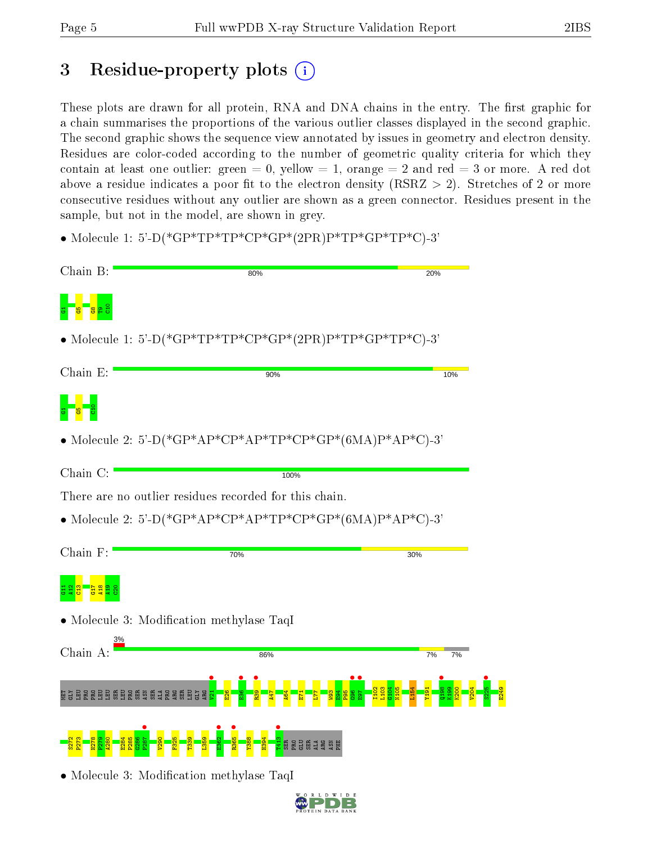# 3 Residue-property plots  $(i)$

These plots are drawn for all protein, RNA and DNA chains in the entry. The first graphic for a chain summarises the proportions of the various outlier classes displayed in the second graphic. The second graphic shows the sequence view annotated by issues in geometry and electron density. Residues are color-coded according to the number of geometric quality criteria for which they contain at least one outlier: green  $= 0$ , yellow  $= 1$ , orange  $= 2$  and red  $= 3$  or more. A red dot above a residue indicates a poor fit to the electron density (RSRZ  $> 2$ ). Stretches of 2 or more consecutive residues without any outlier are shown as a green connector. Residues present in the sample, but not in the model, are shown in grey.

• Molecule 1: 5'-D(\*GP\*TP\*TP\*CP\*GP\*(2PR)P\*TP\*GP\*TP\*C)-3'

| Chain B:                                        | 80%                                                      | 20%      |
|-------------------------------------------------|----------------------------------------------------------|----------|
|                                                 |                                                          |          |
|                                                 | • Molecule 1: 5'-D(*GP*TP*TP*CP*GP*(2PR)P*TP*GP*TP*C)-3' |          |
| Chain E:                                        | 90%                                                      | 10%      |
|                                                 |                                                          |          |
|                                                 | • Molecule 2: 5'-D(*GP*AP*CP*AP*TP*CP*GP*(6MA)P*AP*C)-3' |          |
| Chain C:                                        | 100%                                                     |          |
|                                                 | There are no outlier residues recorded for this chain.   |          |
|                                                 | • Molecule 2: 5'-D(*GP*AP*CP*AP*TP*CP*GP*(6MA)P*AP*C)-3' |          |
|                                                 |                                                          |          |
| Chain F:                                        | 70%                                                      | 30%      |
|                                                 |                                                          |          |
|                                                 | • Molecule 3: Modification methylase TaqI                |          |
| Chain A:                                        |                                                          |          |
|                                                 | 86%                                                      | 7%<br>7% |
| <b>NE SE SE PRE PRE SE SE SE SE SE SE SE SE</b> |                                                          |          |
|                                                 |                                                          |          |
|                                                 | • Molecule 3: Modification methylase TaqI                |          |

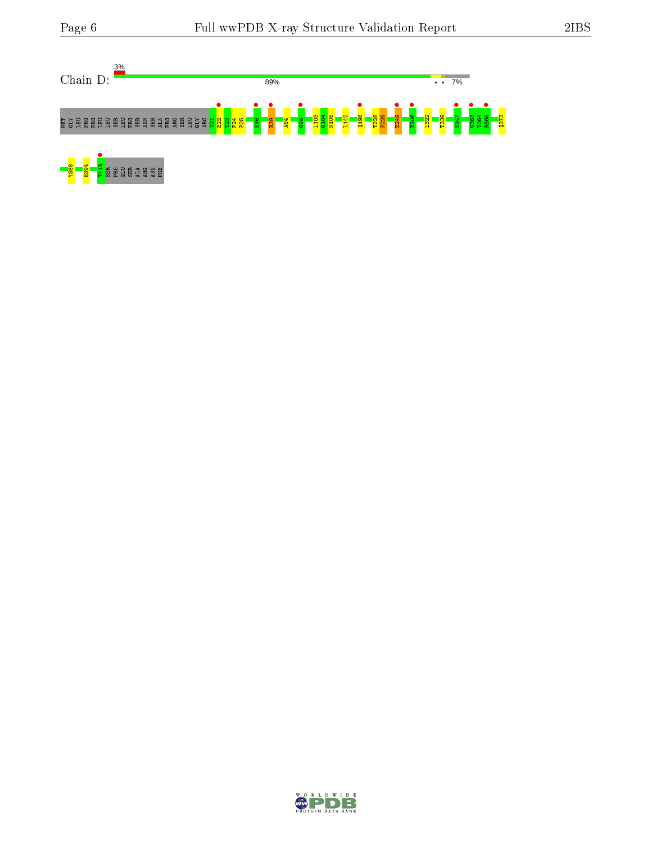



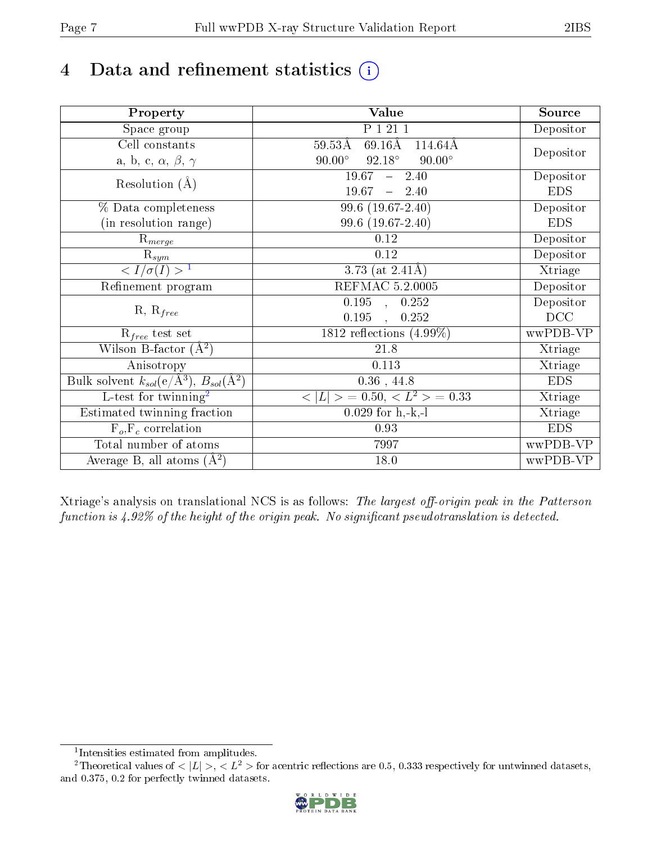# 4 Data and refinement statistics  $(i)$

| Property                                                             | Value                                                        | Source     |
|----------------------------------------------------------------------|--------------------------------------------------------------|------------|
| Space group                                                          | P 1 21 1                                                     | Depositor  |
| Cell constants                                                       | $69.16\text{\AA}$<br>$59.53\text{\AA}$<br>$114.64\text{\AA}$ |            |
| a, b, c, $\alpha$ , $\beta$ , $\gamma$                               | $92.18^\circ$<br>$90.00^\circ$<br>$90.00^\circ$              | Depositor  |
| Resolution $(A)$                                                     | 19.67<br>2.40<br>$\frac{1}{2}$                               | Depositor  |
|                                                                      | 19.67<br>$-2.40$                                             | <b>EDS</b> |
| % Data completeness                                                  | 99.6 (19.67-2.40)                                            | Depositor  |
| (in resolution range)                                                | 99.6 (19.67-2.40)                                            | <b>EDS</b> |
| $R_{merge}$                                                          | 0.12                                                         | Depositor  |
| $\mathrm{R}_{sym}$                                                   | 0.12                                                         | Depositor  |
| $\overline{1$                                                        | 3.73 (at $2.41\text{\AA}$ )                                  | Xtriage    |
| Refinement program                                                   | REFMAC 5.2.0005                                              | Depositor  |
|                                                                      | $\overline{0.195}$ ,<br>0.252                                | Depositor  |
| $R, R_{free}$                                                        | 0.195<br>0.252                                               | DCC        |
| $\mathcal{R}_{free}$ test set                                        | 1812 reflections $(4.99\%)$                                  | wwPDB-VP   |
| Wilson B-factor $(A^2)$                                              | 21.8                                                         | Xtriage    |
| Anisotropy                                                           | 0.113                                                        | Xtriage    |
| Bulk solvent $k_{sol}(e/\mathring{A}^3)$ , $B_{sol}(\mathring{A}^2)$ | $0.36$ , 44.8                                                | <b>EDS</b> |
| L-test for twinning <sup>2</sup>                                     | $< L >$ = 0.50, $< L2$ > = 0.33                              | Xtriage    |
| Estimated twinning fraction                                          | $0.029$ for h,-k,-l                                          | Xtriage    |
| $F_o, F_c$ correlation                                               | 0.93                                                         | <b>EDS</b> |
| Total number of atoms                                                | 7997                                                         | wwPDB-VP   |
| Average B, all atoms $(A^2)$                                         | 18.0                                                         | wwPDB-VP   |

Xtriage's analysis on translational NCS is as follows: The largest off-origin peak in the Patterson function is  $4.92\%$  of the height of the origin peak. No significant pseudotranslation is detected.

<sup>&</sup>lt;sup>2</sup>Theoretical values of  $\langle |L| \rangle$ ,  $\langle L^2 \rangle$  for acentric reflections are 0.5, 0.333 respectively for untwinned datasets, and 0.375, 0.2 for perfectly twinned datasets.



<span id="page-6-1"></span><span id="page-6-0"></span><sup>1</sup> Intensities estimated from amplitudes.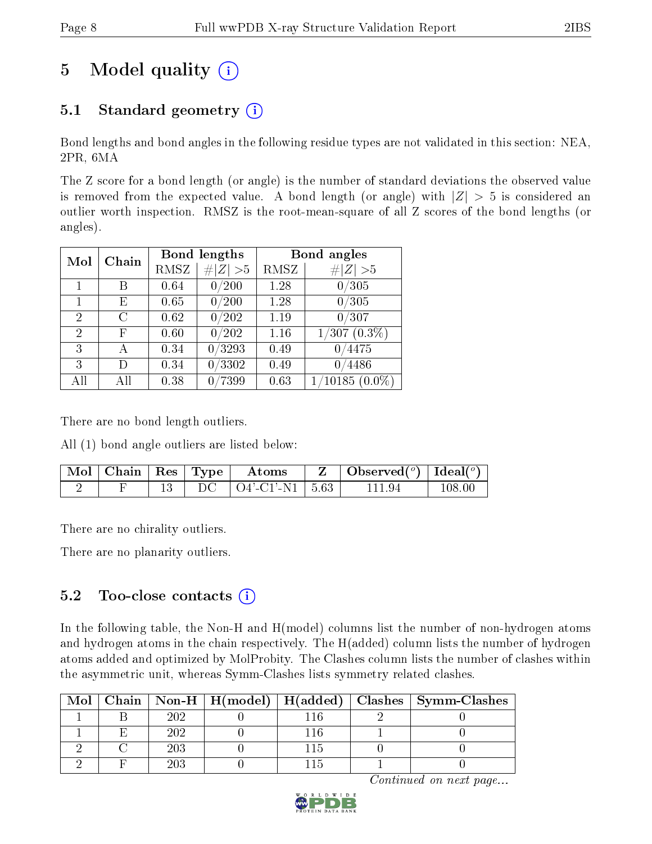# 5 Model quality  $(i)$

### 5.1 Standard geometry  $(i)$

Bond lengths and bond angles in the following residue types are not validated in this section: NEA, 2PR, 6MA

The Z score for a bond length (or angle) is the number of standard deviations the observed value is removed from the expected value. A bond length (or angle) with  $|Z| > 5$  is considered an outlier worth inspection. RMSZ is the root-mean-square of all Z scores of the bond lengths (or angles).

| Mol            | Chain          |      | Bond lengths    | Bond angles |                  |  |  |
|----------------|----------------|------|-----------------|-------------|------------------|--|--|
|                |                | RMSZ | # $ Z  > 5$     | RMSZ        | # $ Z  > 5$      |  |  |
| 1              | Β              | 0.64 | 0/200           | 1.28        | 0/305            |  |  |
| $\mathbf 1$    | Е              | 0.65 | 0/200           | 1.28        | 0/305            |  |  |
| $\overline{2}$ | $\overline{C}$ | 0.62 | 0/202           | 1.19        | 0/307            |  |  |
| $\overline{2}$ | F              | 0.60 | 0/202           | 1.16        | $1/307\ (0.3\%)$ |  |  |
| 3              | А              | 0.34 | /3293           | 0.49        | 0/4475           |  |  |
| 3              | D)             | 0.34 | /3302           | 0.49        | 4486<br>∩        |  |  |
| All            | Αll            | 0.38 | $^{\prime}7399$ | 0.63        | $(10185(0.0\%)$  |  |  |

There are no bond length outliers.

All (1) bond angle outliers are listed below:

| $\sqrt{\text{Mol}}$   Chain   Res   Type |  | Atoms                          | $\mid$ Observed $(^\circ)$   Ideal $(^\circ)$ |        |
|------------------------------------------|--|--------------------------------|-----------------------------------------------|--------|
|                                          |  | $DC \mid O4'-C1'-N1 \mid 5.63$ | 11194                                         | 108.00 |

There are no chirality outliers.

There are no planarity outliers.

### $5.2$  Too-close contacts  $(i)$

In the following table, the Non-H and H(model) columns list the number of non-hydrogen atoms and hydrogen atoms in the chain respectively. The H(added) column lists the number of hydrogen atoms added and optimized by MolProbity. The Clashes column lists the number of clashes within the asymmetric unit, whereas Symm-Clashes lists symmetry related clashes.

| Mol |     |  | $\mid$ Chain $\mid$ Non-H $\mid$ H(model) $\mid$ H(added) $\mid$ Clashes $\mid$ Symm-Clashes |
|-----|-----|--|----------------------------------------------------------------------------------------------|
|     | ാറാ |  |                                                                                              |
|     | 202 |  |                                                                                              |
|     |     |  |                                                                                              |
|     |     |  |                                                                                              |

Continued on next page...

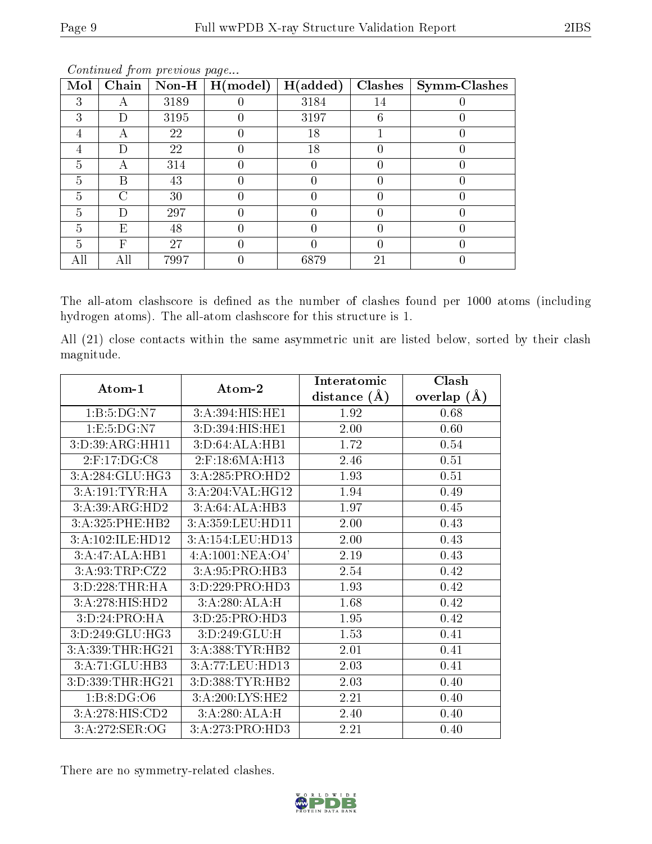| Mol | Chain  | $J$ $I$ $I$ $J$ .<br>$\bf Non-H$ | H (model) | H(added) | Clashes | Symm-Clashes |
|-----|--------|----------------------------------|-----------|----------|---------|--------------|
| 3   |        | 3189                             |           | 3184     | 14      |              |
| 3   | $\Box$ | 3195                             |           | 3197     | 6       |              |
|     | А      | 22                               |           | 18       |         |              |
|     | D      | 22                               |           | 18       |         |              |
| 5   | А      | 314                              |           |          |         |              |
| 5   | В      | 43                               |           |          |         |              |
| 5   | ◯      | 30                               | 0         |          |         |              |
| 5   | D      | 297                              |           |          |         |              |
| 5   | Е      | 48                               |           |          |         |              |
| 5   | F      | 27                               |           |          |         |              |
|     |        | 7997                             |           | 6879     | 21      |              |

Continued from previous page...

The all-atom clashscore is defined as the number of clashes found per 1000 atoms (including hydrogen atoms). The all-atom clashscore for this structure is 1.

All (21) close contacts within the same asymmetric unit are listed below, sorted by their clash magnitude.

| Atom-1           |                                       | Interatomic         | Clash         |  |
|------------------|---------------------------------------|---------------------|---------------|--|
|                  | $\boldsymbol{\mathrm{Atom}\text{-}2}$ | $(\AA)$<br>distance | overlap $(A)$ |  |
| 1:B:5:DG:N7      | 3:A:394:HIS:HE1                       | 1.92                | 0.68          |  |
| 1:E:5:DG:N7      | 3:D:394:HIS:HE1                       | 2.00                | 0.60          |  |
| 3:D:39:ARG:HH11  | 3:D:64:ALA:HB1                        | 1.72                | 0.54          |  |
| $2:$ F:17:DG:C8  | 2:F:18:6MA:H13                        | 2.46                | 0.51          |  |
| 3:A:284:GLU:HG3  | 3:A:285:PRO:HD2                       | 1.93                | 0.51          |  |
| 3:A:191:TYR:HA   | 3:A:204:VAL:HG12                      | 1.94                | 0.49          |  |
| 3:A:39:ARG:HD2   | 3:A:64:ALA:HB3                        | 1.97                | 0.45          |  |
| 3:A:325:PHE:HB2  | 3:A:359:LEU:HD11                      | 2.00                | 0.43          |  |
| 3:A:102:ILE:HD12 | 3:A:154:LEU:HD13                      | 2.00                | 0.43          |  |
| 3:A:47:ALA:HB1   | 4: A: 1001: NEA: O4'                  | 2.19                | 0.43          |  |
| 3:A:93:TRP:CZ2   | 3:A:95:PRO:HB3                        | 2.54                | 0.42          |  |
| 3:D:228:THR:HA   | 3:D:229:PRO:HD3                       | 1.93                | 0.42          |  |
| 3:A:278:HIS:HD2  | 3:A:280:ALA:H                         | 1.68                | 0.42          |  |
| 3:D:24:PRO:HA    | 3:D:25:PRO:HD3                        | 1.95                | 0.42          |  |
| 3:D:249:GLU:HG3  | 3:D:249:GLU:H                         | 1.53                | 0.41          |  |
| 3:A:339:THR:HG21 | 3:A:388:TYR:HB2                       | 2.01                | 0.41          |  |
| 3:A:71:GLU:HB3   | 3:A:77:LEU:HD13                       | 2.03                | 0.41          |  |
| 3:D:339:THR:HG21 | 3:D:388:TYR:HB2                       | 2.03                | 0.40          |  |
| 1: B: 8: DG: O6  | 3:A:200:LYS:HE2                       | 2.21                | 0.40          |  |
| 3:A:278:HIS:CD2  | 3:A:280:ALA:H                         | 2.40                | 0.40          |  |
| 3:A:272:SER:OG   | 3:A:273:PRO:HD3                       | 2.21                | 0.40          |  |

There are no symmetry-related clashes.

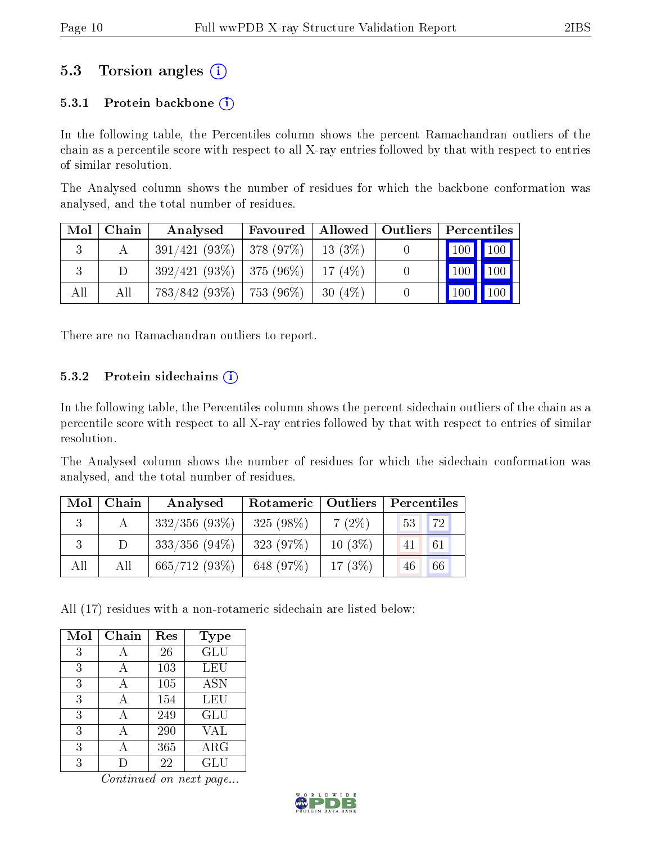### 5.3 Torsion angles (i)

#### 5.3.1 Protein backbone  $(i)$

In the following table, the Percentiles column shows the percent Ramachandran outliers of the chain as a percentile score with respect to all X-ray entries followed by that with respect to entries of similar resolution.

The Analysed column shows the number of residues for which the backbone conformation was analysed, and the total number of residues.

| Mol     | Chain  | Analysed                      | Favoured | Allowed   | $\vert$ Outliers | Percentiles                              |             |
|---------|--------|-------------------------------|----------|-----------|------------------|------------------------------------------|-------------|
| $\cdot$ |        | $391/421(93\%)$ 378 (97\%)    |          | $13(3\%)$ |                  | $\mid$ 100 $\mid$ 100 $\mid$             |             |
| Ð       | $\Box$ | $392/421(93\%)$ 375 (96\%)    |          | 17(4%)    | $\theta$         | $\vert$ 100 $\vert$                      | $\vert$ 100 |
| All     | All    | $783/842$ (93\%)   753 (96\%) |          | $30(4\%)$ |                  | $^{\prime}$ 100 $\overline{\phantom{a}}$ | 100         |

There are no Ramachandran outliers to report.

#### 5.3.2 Protein sidechains  $(i)$

In the following table, the Percentiles column shows the percent sidechain outliers of the chain as a percentile score with respect to all X-ray entries followed by that with respect to entries of similar resolution.

The Analysed column shows the number of residues for which the sidechain conformation was analysed, and the total number of residues.

| Mol | Chain | Analysed         | Rotameric   Outliers |           | Percentiles |  |  |
|-----|-------|------------------|----------------------|-----------|-------------|--|--|
|     |       | $332/356$ (93\%) | 325 (98\%)           | $7(2\%)$  | 72<br>53    |  |  |
|     |       | $333/356$ (94\%) | 323(97%)             | $10(3\%)$ | 61<br>41    |  |  |
| All | All   | 665/712(93%)     | 648 (97%)            | 17(3%)    | 66<br>46    |  |  |

All (17) residues with a non-rotameric sidechain are listed below:

| Mol | Chain | Res | <b>Type</b> |
|-----|-------|-----|-------------|
| 3   | А     | 26  | GLU         |
| 3   |       | 103 | <b>LEU</b>  |
| 3   |       | 105 | <b>ASN</b>  |
| 3   |       | 154 | <b>LEU</b>  |
| 3   | А     | 249 | GLU         |
| 3   |       | 290 | VAL         |
| 3   | А     | 365 | $\rm{ARG}$  |
| 3   |       | 22  | GLU         |

Continued on next page...

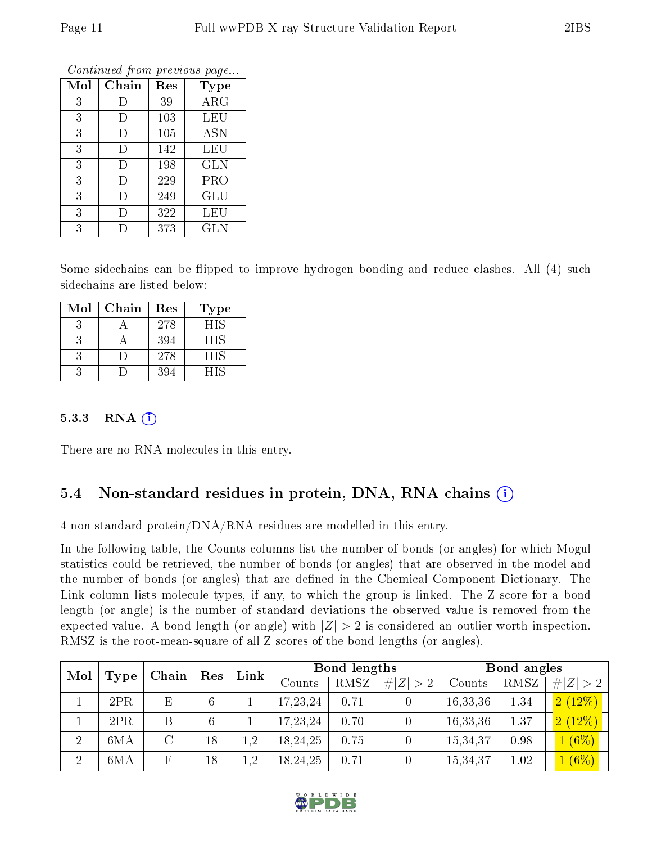| Mol | Chain | Res | <b>Type</b> |
|-----|-------|-----|-------------|
| 3   | Ð     | 39  | $\rm{ARG}$  |
| 3   | I)    | 103 | LEU         |
| 3   | I)    | 105 | <b>ASN</b>  |
| 3   | I)    | 142 | LEU         |
| 3   | D     | 198 | <b>GLN</b>  |
| 3   | D     | 229 | PRO         |
| 3   | D     | 249 | GLU         |
| 3   | I)    | 322 | LEU         |
| 3   |       | 373 | GLN         |

Continued from previous page...

Some sidechains can be flipped to improve hydrogen bonding and reduce clashes. All (4) such sidechains are listed below:

| Mol | Chain | Res | Type       |
|-----|-------|-----|------------|
|     |       | 278 | <b>HIS</b> |
|     |       | 394 | <b>HIS</b> |
|     |       | 278 | HIS        |
|     |       | 394 | HIS        |

#### 5.3.3 RNA  $(i)$

There are no RNA molecules in this entry.

#### 5.4 Non-standard residues in protein, DNA, RNA chains  $(i)$

4 non-standard protein/DNA/RNA residues are modelled in this entry.

In the following table, the Counts columns list the number of bonds (or angles) for which Mogul statistics could be retrieved, the number of bonds (or angles) that are observed in the model and the number of bonds (or angles) that are defined in the Chemical Component Dictionary. The Link column lists molecule types, if any, to which the group is linked. The Z score for a bond length (or angle) is the number of standard deviations the observed value is removed from the expected value. A bond length (or angle) with  $|Z| > 2$  is considered an outlier worth inspection. RMSZ is the root-mean-square of all Z scores of the bond lengths (or angles).

| Mol<br>Type    | Chain | Res     | Link | Bond lengths |            |      | Bond angles |          |      |             |
|----------------|-------|---------|------|--------------|------------|------|-------------|----------|------|-------------|
|                |       |         |      |              | Counts     | RMSZ | # $ Z  > 2$ | Counts   | RMSZ | # $ Z  > 2$ |
|                | 2PR   | Ε       | 6    |              | 17,23,24   | 0.71 |             | 16,33,36 | 1.34 | 2(12%)      |
|                | 2PR   | B       | 6    |              | 17, 23, 24 | 0.70 |             | 16,33,36 | 1.37 | 2(12%)      |
| $\overline{2}$ | 6MA   | $\rm C$ | 18   | $1.2\,$      | 18,24,25   | 0.75 |             | 15,34,37 | 0.98 | 1(6%)       |
| $\overline{2}$ | 6MA   |         | 18   | $1.2\,$      | 18,24,25   | 0.71 |             | 15,34,37 | 1.02 | $1(6\%)$    |

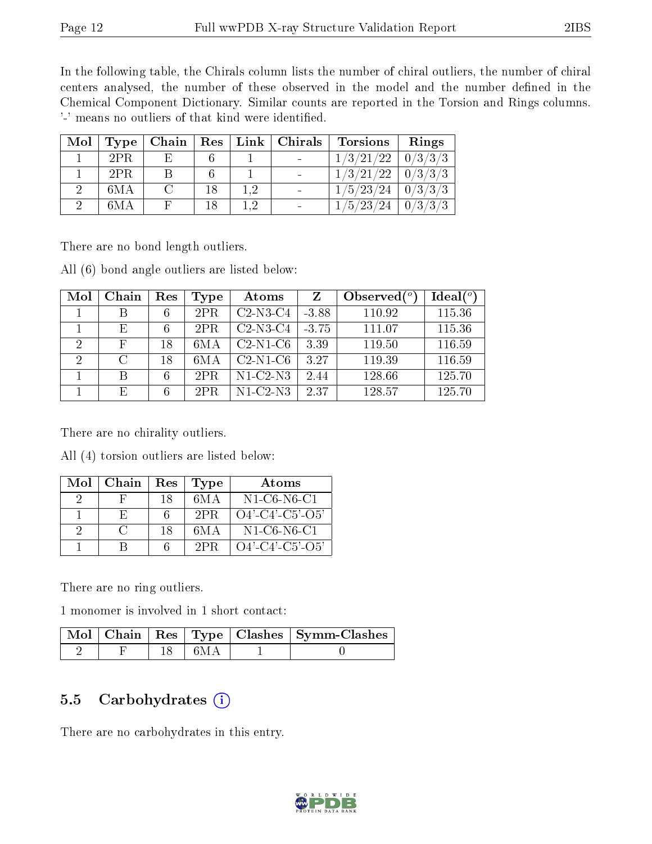In the following table, the Chirals column lists the number of chiral outliers, the number of chiral centers analysed, the number of these observed in the model and the number defined in the Chemical Component Dictionary. Similar counts are reported in the Torsion and Rings columns. '-' means no outliers of that kind were identified.

| Mol | Type |    |  | $\mid$ Chain $\mid$ Res $\mid$ Link $\mid$ Chirals | Torsions              | Rings   |
|-----|------|----|--|----------------------------------------------------|-----------------------|---------|
|     | 2PR  | Е. |  |                                                    | $1/3/21/22$   0/3/3/3 |         |
|     | 2PR  |    |  |                                                    | $1/3/21/22$   0/3/3/3 |         |
|     | 6MA  |    |  |                                                    | $1/5/23/24$   0/3/3/3 |         |
|     | 6MA  |    |  |                                                    | 1/5/23/24             | 0/3/3/3 |

There are no bond length outliers.

All (6) bond angle outliers are listed below:

| Mol           | Chain         | Res | Type | Atoms      | Z       | Observed $(°)$ | $Ideal(^o)$ |
|---------------|---------------|-----|------|------------|---------|----------------|-------------|
|               |               | 6   | 2PR  | $C2-N3-C4$ | $-3.88$ | 110.92         | 115.36      |
|               | E             | 6   | 2PR  | $C2-N3-C4$ | $-3.75$ | 111.07         | 115.36      |
| $\mathcal{D}$ | F             | 18  | 6M A | $C2-N1-C6$ | 3.39    | 119.50         | 116.59      |
| 2             | $\mathcal{C}$ | 18  | 6M A | $C2-N1-C6$ | 3.27    | 119.39         | 116.59      |
|               | R             | 6   | 2PR  | $N1-C2-N3$ | 2.44    | 128.66         | 125.70      |
|               | E,            | 6   | 2PR  | $N1-C2-N3$ | 2.37    | 128.57         | 125.70      |

There are no chirality outliers.

All (4) torsion outliers are listed below:

| Mol | Chain          | Res | <b>Type</b> | Atoms              |
|-----|----------------|-----|-------------|--------------------|
|     |                | 18  | 6M A        | $N1-C6-N6-C1$      |
|     |                |     | 2PR         | $O4'$ -C4'-C5'-O5' |
|     | $\mathfrak{g}$ | 18  | 6M A        | N1-C6-N6-C1        |
|     |                |     | 2PR         | $O4'$ -C4'-C5'-O5' |

There are no ring outliers.

1 monomer is involved in 1 short contact:

|  |        | Mol   Chain   Res   Type   Clashes   Symm-Clashes |
|--|--------|---------------------------------------------------|
|  | - 6M A |                                                   |

### 5.5 Carbohydrates (i)

There are no carbohydrates in this entry.

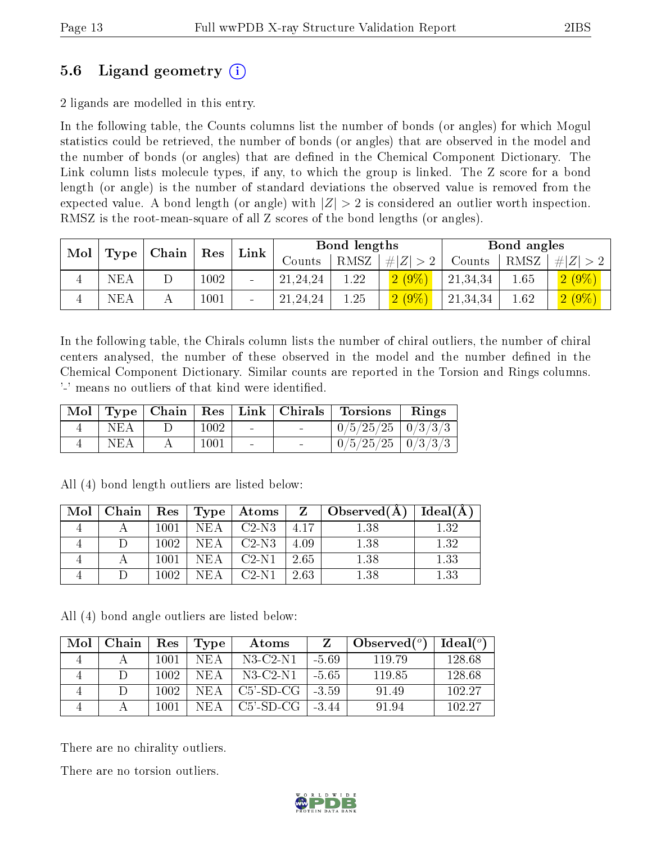### 5.6 Ligand geometry (i)

2 ligands are modelled in this entry.

In the following table, the Counts columns list the number of bonds (or angles) for which Mogul statistics could be retrieved, the number of bonds (or angles) that are observed in the model and the number of bonds (or angles) that are dened in the Chemical Component Dictionary. The Link column lists molecule types, if any, to which the group is linked. The Z score for a bond length (or angle) is the number of standard deviations the observed value is removed from the expected value. A bond length (or angle) with  $|Z| > 2$  is considered an outlier worth inspection. RMSZ is the root-mean-square of all Z scores of the bond lengths (or angles).

| Mol<br>$\mid$ Chain $\mid$ |  | Link<br>$\operatorname{Res}$ |                          |            | <b>Bond lengths</b> |             |          | Bond angles |             |  |
|----------------------------|--|------------------------------|--------------------------|------------|---------------------|-------------|----------|-------------|-------------|--|
| Type $\vert$               |  |                              |                          | Counts     | RMSZ                | $\# Z  > 2$ | Counts   | RMSZ        | # $ Z  > 2$ |  |
| NEA                        |  | $1002\,$                     | $\overline{\phantom{a}}$ | 21, 24, 24 | 1.22                | $2(9\%)$    | 21,34,34 | 1.65        | $2(9\%)$    |  |
| NEA                        |  | 1001                         | $\overline{\phantom{a}}$ | 21, 24, 24 | 1.25                | $2(9\%)$    | 21,34,34 | 1.62        | $2(9\%)$    |  |

In the following table, the Chirals column lists the number of chiral outliers, the number of chiral centers analysed, the number of these observed in the model and the number defined in the Chemical Component Dictionary. Similar counts are reported in the Torsion and Rings columns. '-' means no outliers of that kind were identified.

|            |      |                          | Mol   Type   Chain   Res   Link   Chirals   Torsions   Rings |  |
|------------|------|--------------------------|--------------------------------------------------------------|--|
| <b>NEA</b> | 1002 | <b>Contract Contract</b> | $\mid 0/5/25/25 \mid 0/3/3/3 \mid$                           |  |
| NEA        | 1001 | $\sim$                   | $0/5/25/25$   $0/3/3/3$                                      |  |

| Mol | Chain |      |            | Res   Type   Atoms |      | $Z \perp$ Observed(A) $\perp$ | Ideal(A) |
|-----|-------|------|------------|--------------------|------|-------------------------------|----------|
|     |       | 1001 | <b>NEA</b> | $C2-N3$            | 4.17 | 1.38                          | 1.32     |
|     |       | 1002 | NEA        | $C2-N3$            | 4.09 | 1.38                          | 1.32     |
|     |       | 1001 | NEA        | $C2-N1$            | 2.65 | 1.38                          | 1.33     |
|     |       | 1002 | NEA        | $C2-N1$            | 2.63 | $1.38\,$                      | 1.33     |

All (4) bond length outliers are listed below:

All (4) bond angle outliers are listed below:

| Mol | Chain | Res  | Type | Atoms        |         | Observed $(°)$ | Ideal $(°)$ |
|-----|-------|------|------|--------------|---------|----------------|-------------|
|     |       | 1001 | NEA  | N3-C2-N1     | $-5.69$ | 119.79         | 128.68      |
|     |       | 1002 | NEA  | $N3$ -C2-N1  | $-5.65$ | 119.85         | 128.68      |
|     |       | 1002 | NEA  | $C5$ '-SD-CG | $-3.59$ | 91.49          | 102.27      |
|     |       | 1001 | NEA. | C5'-SD-CG    | $-3.44$ | 91.94          | 102.27      |

There are no chirality outliers.

There are no torsion outliers.

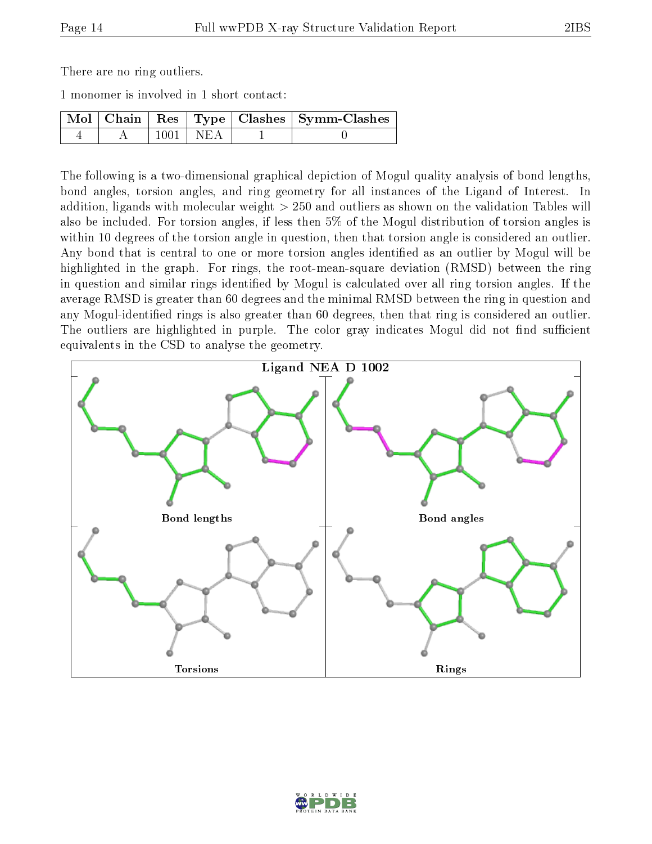There are no ring outliers.

1 monomer is involved in 1 short contact:

|  |            | Mol   Chain   Res   Type   Clashes   Symm-Clashes |
|--|------------|---------------------------------------------------|
|  | $1001$ NEA |                                                   |

The following is a two-dimensional graphical depiction of Mogul quality analysis of bond lengths, bond angles, torsion angles, and ring geometry for all instances of the Ligand of Interest. In addition, ligands with molecular weight > 250 and outliers as shown on the validation Tables will also be included. For torsion angles, if less then 5% of the Mogul distribution of torsion angles is within 10 degrees of the torsion angle in question, then that torsion angle is considered an outlier. Any bond that is central to one or more torsion angles identified as an outlier by Mogul will be highlighted in the graph. For rings, the root-mean-square deviation (RMSD) between the ring in question and similar rings identified by Mogul is calculated over all ring torsion angles. If the average RMSD is greater than 60 degrees and the minimal RMSD between the ring in question and any Mogul-identied rings is also greater than 60 degrees, then that ring is considered an outlier. The outliers are highlighted in purple. The color gray indicates Mogul did not find sufficient equivalents in the CSD to analyse the geometry.



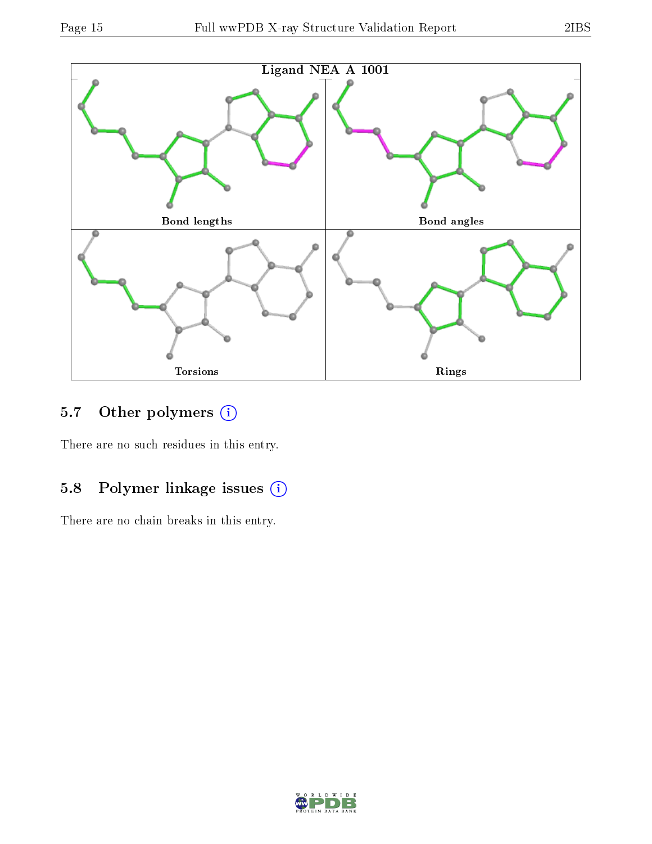

### 5.7 [O](https://www.wwpdb.org/validation/2017/XrayValidationReportHelp#nonstandard_residues_and_ligands)ther polymers (i)

There are no such residues in this entry.

### 5.8 Polymer linkage issues (i)

There are no chain breaks in this entry.

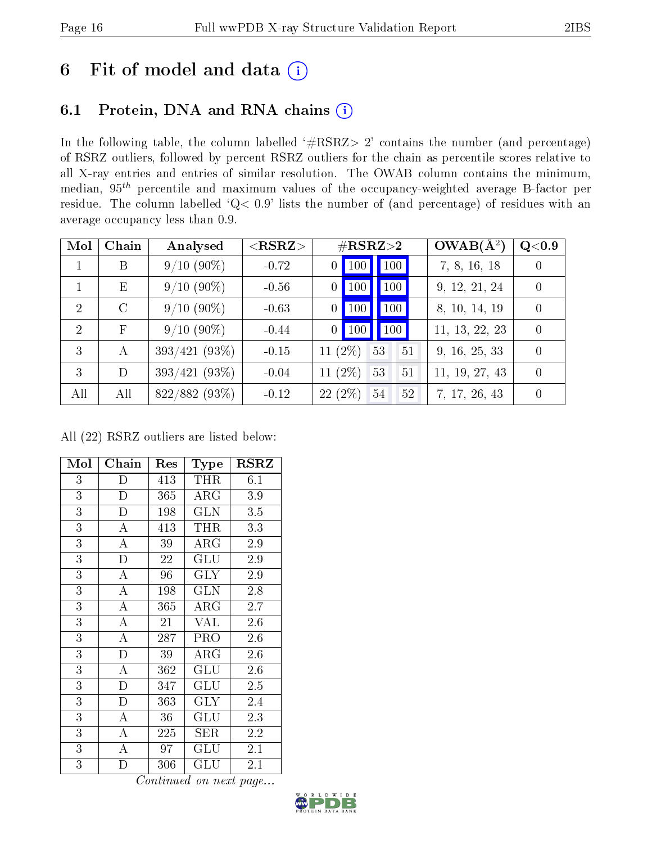# 6 Fit of model and data  $(i)$

# 6.1 Protein, DNA and RNA chains  $(i)$

In the following table, the column labelled  $#RSRZ> 2'$  contains the number (and percentage) of RSRZ outliers, followed by percent RSRZ outliers for the chain as percentile scores relative to all X-ray entries and entries of similar resolution. The OWAB column contains the minimum, median,  $95<sup>th</sup>$  percentile and maximum values of the occupancy-weighted average B-factor per residue. The column labelled ' $Q< 0.9$ ' lists the number of (and percentage) of residues with an average occupancy less than 0.9.

| Mol            | Chain         | Analysed        | $<$ RSRZ $>$ | $\#\text{RSRZ}\text{>2}$                       | $OWAB(A^2)$    | Q< 0.9           |
|----------------|---------------|-----------------|--------------|------------------------------------------------|----------------|------------------|
|                | B             | $9/10(90\%)$    | $-0.72$      | 100 100<br>$\theta$                            | 7, 8, 16, 18   | $\left( \right)$ |
|                | E             | $9/10(90\%)$    | $-0.56$      | $\vert$ 100<br>$\vert$ 100 $\vert$<br>$\theta$ | 9, 12, 21, 24  | $\theta$         |
| 2              | $\mathcal{C}$ | $9/10(90\%)$    | $-0.63$      | 100<br>100<br>0                                | 8, 10, 14, 19  | $\Omega$         |
| $\overline{2}$ | $_{\rm F}$    | $9/10(90\%)$    | $-0.44$      | $\vert$ 100<br>$0$   100                       | 11, 13, 22, 23 | $\Omega$         |
| $\mathcal{E}$  | А             | $393/421(93\%)$ | $-0.15$      | 11 $(2\%)$<br>53<br>51                         | 9, 16, 25, 33  | $\Omega$         |
| $\mathcal{E}$  | D             | $393/421(93\%)$ | $-0.04$      | 11 $(2\%)$<br>53<br>51                         | 11, 19, 27, 43 | $\Omega$         |
| All            | All           | 822/882 (93%)   | $-0.12$      | 22(2%)<br>52<br>54                             | 7, 17, 26, 43  | $\Omega$         |

All (22) RSRZ outliers are listed below:

| Mol            | Chain                   | Res | Type                 | <b>RSRZ</b> |
|----------------|-------------------------|-----|----------------------|-------------|
| 3              | D                       | 413 | <b>THR</b>           | 6.1         |
| $\overline{3}$ | $\overline{D}$          | 365 | $\rm{ARG}$           | 3.9         |
| $\overline{3}$ | $\overline{\rm D}$      | 198 | <b>GLN</b>           | 3.5         |
| $\overline{3}$ | $\overline{A}$          | 413 | THR                  | 3.3         |
| $\overline{3}$ | $\overline{\rm A}$      | 39  | $\rm{ARG}$           | 2.9         |
| $\overline{3}$ | $\overline{D}$          | 22  | GLU                  | 2.9         |
| $\overline{3}$ | $\overline{\rm A}$      | 96  | <b>GLY</b>           | 2.9         |
| $\overline{3}$ | $\overline{\rm A}$      | 198 | GLN                  | 2.8         |
| $\overline{3}$ | A                       | 365 | $\rm{ARG}$           | 2.7         |
| $\overline{3}$ | $\overline{\rm A}$      | 21  | <b>VAL</b>           | 2.6         |
| $\overline{3}$ | $\boldsymbol{A}$        | 287 | <b>PRO</b>           | $2.6\,$     |
| $\overline{3}$ | $\overline{\mathrm{D}}$ | 39  | $\rm{ARG}$           | 2.6         |
| $\overline{3}$ | $\overline{A}$          | 362 | $\operatorname{GLU}$ | 2.6         |
| $\overline{3}$ | $\overline{D}$          | 347 | GLU                  | 2.5         |
| $\overline{3}$ | $\overline{D}$          | 363 | $\rm GLY$            | 2.4         |
| $\overline{3}$ | A                       | 36  | GLU                  | 2.3         |
| 3              | A                       | 225 | SER                  | 2.2         |
| $\overline{3}$ | A                       | 97  | $\operatorname{GLU}$ | 2.1         |
| 3              | D                       | 306 | $\operatorname{GLU}$ | 2.1         |

Continued on next page...

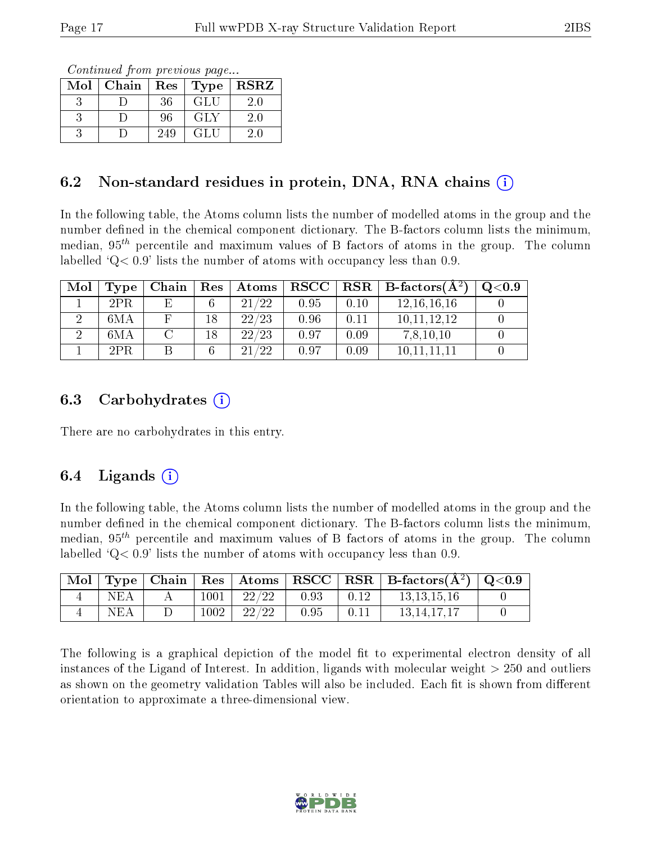Continued from previous page...

| Mol | Chain | Res | Type | <b>RSRZ</b> |
|-----|-------|-----|------|-------------|
|     |       | 36  | GLU  | $2.0\,$     |
|     |       | 96  | GLY  | $2.0\,$     |
|     |       | 249 | GLU  |             |

### 6.2 Non-standard residues in protein, DNA, RNA chains  $(i)$

In the following table, the Atoms column lists the number of modelled atoms in the group and the number defined in the chemical component dictionary. The B-factors column lists the minimum, median,  $95<sup>th</sup>$  percentile and maximum values of B factors of atoms in the group. The column labelled  $^{\circ}Q<0.9'$  lists the number of atoms with occupancy less than 0.9.

| Mol | Type | Chain | Res | $\boldsymbol{\mathrm{Atoms}}$ | $\mid$ RSCC $\mid$ |      | $\parallel$ RSR $\parallel$ B-factors( $\rm \AA^2)$ | O <sub>0.9</sub> |
|-----|------|-------|-----|-------------------------------|--------------------|------|-----------------------------------------------------|------------------|
|     | 2PR. | Е,    | 6   | 21/22                         | 0.95               | 0.10 | 12, 16, 16, 16                                      |                  |
|     | 6MA  |       | 18  | 22/23                         | 0.96               | 0.11 | 10.11.12.12                                         |                  |
|     | 6MA  |       | 18  | 22/23                         | 0.97               | 0.09 | 7,8,10,10                                           |                  |
|     | 2PR  |       | 6   | 799<br>21                     | 0.97               | 0.09 | $10.11\overline{11}$ .                              |                  |

#### 6.3 Carbohydrates  $(i)$

There are no carbohydrates in this entry.

### 6.4 Ligands  $(i)$

In the following table, the Atoms column lists the number of modelled atoms in the group and the number defined in the chemical component dictionary. The B-factors column lists the minimum, median,  $95<sup>th</sup>$  percentile and maximum values of B factors of atoms in the group. The column labelled  $Q < 0.9$ ' lists the number of atoms with occupancy less than 0.9.

| $^+$ Mol $+$ |     |      |                         |      |                  | Type   Chain   Res   Atoms   RSCC   RSR   B-factors $(\AA^2)$   Q<0.9 |  |
|--------------|-----|------|-------------------------|------|------------------|-----------------------------------------------------------------------|--|
|              | NEA |      | $1001$   $22/22$   0.93 |      | $\pm$ 0.12 $\pm$ | 13.13.15.16                                                           |  |
|              | NEA | 1002 | 22/22                   | 0.95 | 0.11             | 13.14.17.17                                                           |  |

The following is a graphical depiction of the model fit to experimental electron density of all instances of the Ligand of Interest. In addition, ligands with molecular weight  $> 250$  and outliers as shown on the geometry validation Tables will also be included. Each fit is shown from different orientation to approximate a three-dimensional view.

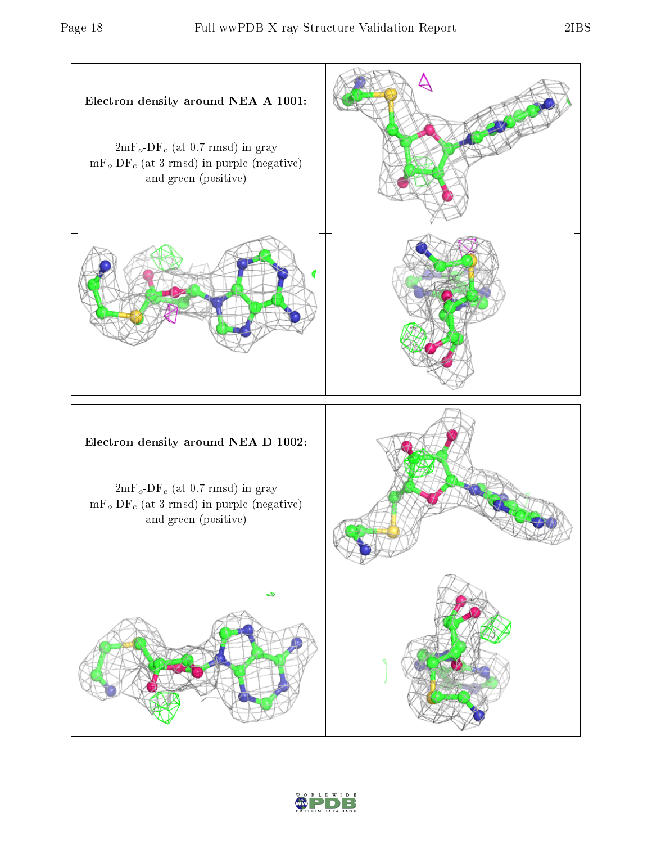